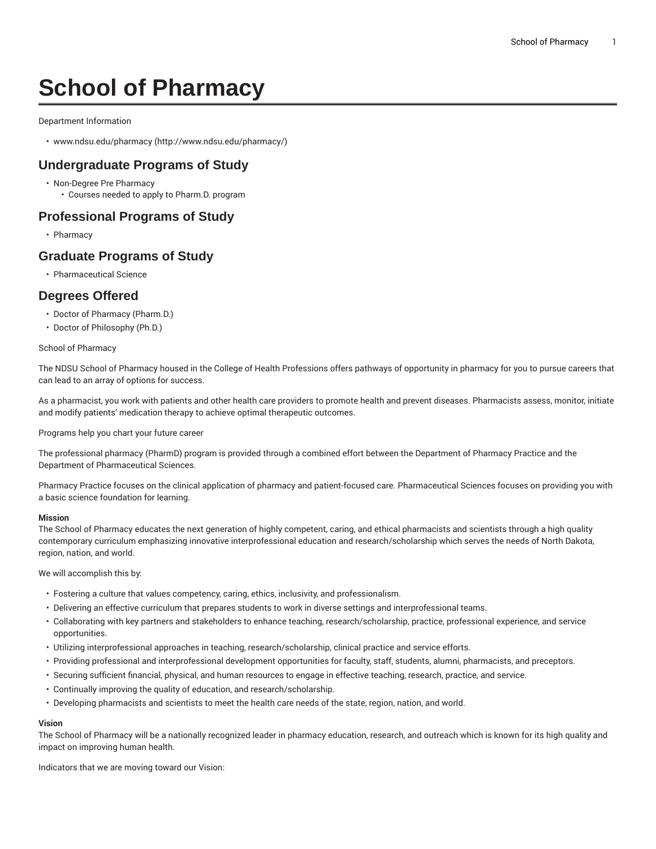# **School of Pharmacy**

#### Department Information

• [www.ndsu.edu/pharmacy](http://www.ndsu.edu/pharmacy/) ([http://www.ndsu.edu/pharmacy/\)](http://www.ndsu.edu/pharmacy/)

## **Undergraduate Programs of Study**

- Non-Degree Pre Pharmacy
	- Courses needed to apply to Pharm.D. program

## **Professional Programs of Study**

• Pharmacy

## **Graduate Programs of Study**

• Pharmaceutical Science

## **Degrees Offered**

- Doctor of Pharmacy (Pharm.D.)
- Doctor of Philosophy (Ph.D.)

#### School of Pharmacy

The NDSU School of Pharmacy housed in the College of Health Professions offers pathways of opportunity in pharmacy for you to pursue careers that can lead to an array of options for success.

As a pharmacist, you work with patients and other health care providers to promote health and prevent diseases. Pharmacists assess, monitor, initiate and modify patients' medication therapy to achieve optimal therapeutic outcomes.

Programs help you chart your future career

The professional pharmacy (PharmD) program is provided through a combined effort between the Department of Pharmacy Practice and the Department of Pharmaceutical Sciences.

Pharmacy Practice focuses on the clinical application of pharmacy and patient-focused care. Pharmaceutical Sciences focuses on providing you with a basic science foundation for learning.

#### **Mission**

The School of Pharmacy educates the next generation of highly competent, caring, and ethical pharmacists and scientists through a high quality contemporary curriculum emphasizing innovative interprofessional education and research/scholarship which serves the needs of North Dakota, region, nation, and world.

We will accomplish this by:

- Fostering a culture that values competency, caring, ethics, inclusivity, and professionalism.
- Delivering an effective curriculum that prepares students to work in diverse settings and interprofessional teams.
- Collaborating with key partners and stakeholders to enhance teaching, research/scholarship, practice, professional experience, and service opportunities.
- Utilizing interprofessional approaches in teaching, research/scholarship, clinical practice and service efforts.
- Providing professional and interprofessional development opportunities for faculty, staff, students, alumni, pharmacists, and preceptors.
- Securing sufficient financial, physical, and human resources to engage in effective teaching, research, practice, and service.
- Continually improving the quality of education, and research/scholarship.
- Developing pharmacists and scientists to meet the health care needs of the state, region, nation, and world.

### **Vision**

The School of Pharmacy will be a nationally recognized leader in pharmacy education, research, and outreach which is known for its high quality and impact on improving human health.

Indicators that we are moving toward our Vision: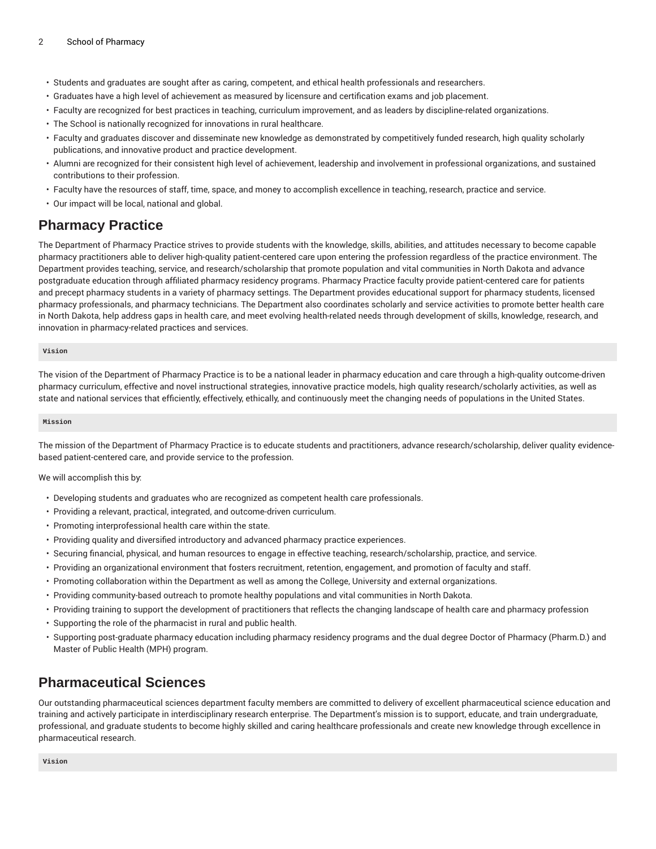- Students and graduates are sought after as caring, competent, and ethical health professionals and researchers.
- Graduates have a high level of achievement as measured by licensure and certification exams and job placement.
- Faculty are recognized for best practices in teaching, curriculum improvement, and as leaders by discipline-related organizations.
- The School is nationally recognized for innovations in rural healthcare.
- Faculty and graduates discover and disseminate new knowledge as demonstrated by competitively funded research, high quality scholarly publications, and innovative product and practice development.
- Alumni are recognized for their consistent high level of achievement, leadership and involvement in professional organizations, and sustained contributions to their profession.
- Faculty have the resources of staff, time, space, and money to accomplish excellence in teaching, research, practice and service.
- Our impact will be local, national and global.

# **Pharmacy Practice**

The Department of Pharmacy Practice strives to provide students with the knowledge, skills, abilities, and attitudes necessary to become capable pharmacy practitioners able to deliver high-quality patient-centered care upon entering the profession regardless of the practice environment. The Department provides teaching, service, and research/scholarship that promote population and vital communities in North Dakota and advance postgraduate education through affiliated pharmacy residency programs. Pharmacy Practice faculty provide patient-centered care for patients and precept pharmacy students in a variety of pharmacy settings. The Department provides educational support for pharmacy students, licensed pharmacy professionals, and pharmacy technicians. The Department also coordinates scholarly and service activities to promote better health care in North Dakota, help address gaps in health care, and meet evolving health-related needs through development of skills, knowledge, research, and innovation in pharmacy-related practices and services.

#### **Vision**

The vision of the Department of Pharmacy Practice is to be a national leader in pharmacy education and care through a high-quality outcome-driven pharmacy curriculum, effective and novel instructional strategies, innovative practice models, high quality research/scholarly activities, as well as state and national services that efficiently, effectively, ethically, and continuously meet the changing needs of populations in the United States.

#### **Mission**

The mission of the Department of Pharmacy Practice is to educate students and practitioners, advance research/scholarship, deliver quality evidencebased patient-centered care, and provide service to the profession.

We will accomplish this by:

- Developing students and graduates who are recognized as competent health care professionals.
- Providing a relevant, practical, integrated, and outcome-driven curriculum.
- Promoting interprofessional health care within the state.
- Providing quality and diversified introductory and advanced pharmacy practice experiences.
- Securing financial, physical, and human resources to engage in effective teaching, research/scholarship, practice, and service.
- Providing an organizational environment that fosters recruitment, retention, engagement, and promotion of faculty and staff.
- Promoting collaboration within the Department as well as among the College, University and external organizations.
- Providing community-based outreach to promote healthy populations and vital communities in North Dakota.
- Providing training to support the development of practitioners that reflects the changing landscape of health care and pharmacy profession
- Supporting the role of the pharmacist in rural and public health.
- Supporting post-graduate pharmacy education including pharmacy residency programs and the dual degree Doctor of Pharmacy (Pharm.D.) and Master of Public Health (MPH) program.

# **Pharmaceutical Sciences**

Our outstanding pharmaceutical sciences department faculty members are committed to delivery of excellent pharmaceutical science education and training and actively participate in interdisciplinary research enterprise. The Department's mission is to support, educate, and train undergraduate, professional, and graduate students to become highly skilled and caring healthcare professionals and create new knowledge through excellence in pharmaceutical research.

**Vision**